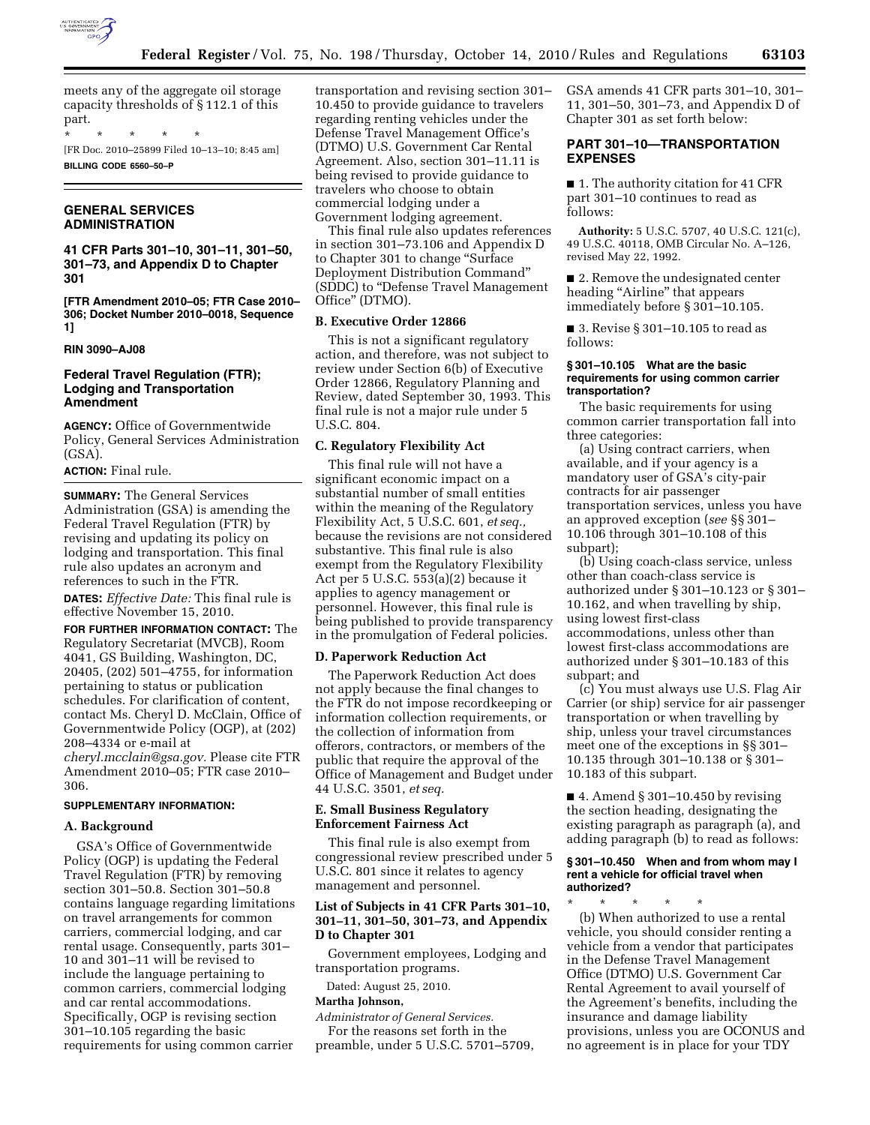

meets any of the aggregate oil storage capacity thresholds of § 112.1 of this part.

\* \* \* \* \* [FR Doc. 2010–25899 Filed 10–13–10; 8:45 am] **BILLING CODE 6560–50–P** 

## **GENERAL SERVICES ADMINISTRATION**

**41 CFR Parts 301–10, 301–11, 301–50, 301–73, and Appendix D to Chapter 301** 

**[FTR Amendment 2010–05; FTR Case 2010– 306; Docket Number 2010–0018, Sequence 1]** 

**RIN 3090–AJ08** 

## **Federal Travel Regulation (FTR); Lodging and Transportation Amendment**

**AGENCY:** Office of Governmentwide Policy, General Services Administration (GSA).

# **ACTION:** Final rule.

**SUMMARY:** The General Services Administration (GSA) is amending the Federal Travel Regulation (FTR) by revising and updating its policy on lodging and transportation. This final rule also updates an acronym and references to such in the FTR.

**DATES:** *Effective Date:* This final rule is effective November 15, 2010.

**FOR FURTHER INFORMATION CONTACT:** The Regulatory Secretariat (MVCB), Room 4041, GS Building, Washington, DC, 20405, (202) 501–4755, for information pertaining to status or publication schedules. For clarification of content, contact Ms. Cheryl D. McClain, Office of Governmentwide Policy (OGP), at (202) 208–4334 or e-mail at *[cheryl.mcclain@gsa.gov.](mailto:cheryl.mcclain@gsa.gov)* Please cite FTR Amendment 2010–05; FTR case 2010–

306.

# **SUPPLEMENTARY INFORMATION:**

## **A. Background**

GSA's Office of Governmentwide Policy (OGP) is updating the Federal Travel Regulation (FTR) by removing section 301–50.8. Section 301–50.8 contains language regarding limitations on travel arrangements for common carriers, commercial lodging, and car rental usage. Consequently, parts 301– 10 and 301–11 will be revised to include the language pertaining to common carriers, commercial lodging and car rental accommodations. Specifically, OGP is revising section 301–10.105 regarding the basic requirements for using common carrier

transportation and revising section 301– 10.450 to provide guidance to travelers regarding renting vehicles under the Defense Travel Management Office's (DTMO) U.S. Government Car Rental Agreement. Also, section 301–11.11 is being revised to provide guidance to travelers who choose to obtain commercial lodging under a Government lodging agreement.

This final rule also updates references in section 301–73.106 and Appendix D to Chapter 301 to change ''Surface Deployment Distribution Command'' (SDDC) to ''Defense Travel Management Office'' (DTMO).

## **B. Executive Order 12866**

This is not a significant regulatory action, and therefore, was not subject to review under Section 6(b) of Executive Order 12866, Regulatory Planning and Review, dated September 30, 1993. This final rule is not a major rule under 5 U.S.C. 804.

## **C. Regulatory Flexibility Act**

This final rule will not have a significant economic impact on a substantial number of small entities within the meaning of the Regulatory Flexibility Act, 5 U.S.C. 601, *et seq.,*  because the revisions are not considered substantive. This final rule is also exempt from the Regulatory Flexibility Act per 5 U.S.C. 553(a)(2) because it applies to agency management or personnel. However, this final rule is being published to provide transparency in the promulgation of Federal policies.

#### **D. Paperwork Reduction Act**

The Paperwork Reduction Act does not apply because the final changes to the FTR do not impose recordkeeping or information collection requirements, or the collection of information from offerors, contractors, or members of the public that require the approval of the Office of Management and Budget under 44 U.S.C. 3501, *et seq.* 

## **E. Small Business Regulatory Enforcement Fairness Act**

This final rule is also exempt from congressional review prescribed under 5 U.S.C. 801 since it relates to agency management and personnel.

## **List of Subjects in 41 CFR Parts 301–10, 301–11, 301–50, 301–73, and Appendix D to Chapter 301**

Government employees, Lodging and transportation programs.

Dated: August 25, 2010.

## **Martha Johnson,**

*Administrator of General Services.*  For the reasons set forth in the preamble, under 5 U.S.C. 5701–5709, GSA amends 41 CFR parts 301–10, 301– 11, 301–50, 301–73, and Appendix D of Chapter 301 as set forth below:

## **PART 301–10—TRANSPORTATION EXPENSES**

■ 1. The authority citation for 41 CFR part 301–10 continues to read as follows:

**Authority:** 5 U.S.C. 5707, 40 U.S.C. 121(c), 49 U.S.C. 40118, OMB Circular No. A–126, revised May 22, 1992.

■ 2. Remove the undesignated center heading "Airline" that appears immediately before § 301–10.105.

■ 3. Revise § 301–10.105 to read as follows:

## **§ 301–10.105 What are the basic requirements for using common carrier transportation?**

The basic requirements for using common carrier transportation fall into three categories:

(a) Using contract carriers, when available, and if your agency is a mandatory user of GSA's city-pair contracts for air passenger transportation services, unless you have an approved exception (*see* §§ 301– 10.106 through 301–10.108 of this subpart);

(b) Using coach-class service, unless other than coach-class service is authorized under § 301–10.123 or § 301– 10.162, and when travelling by ship, using lowest first-class accommodations, unless other than lowest first-class accommodations are authorized under § 301–10.183 of this subpart; and

(c) You must always use U.S. Flag Air Carrier (or ship) service for air passenger transportation or when travelling by ship, unless your travel circumstances meet one of the exceptions in §§ 301– 10.135 through 301–10.138 or § 301– 10.183 of this subpart.

 $\blacksquare$  4. Amend § 301–10.450 by revising the section heading, designating the existing paragraph as paragraph (a), and adding paragraph (b) to read as follows:

#### **§ 301–10.450 When and from whom may I rent a vehicle for official travel when authorized?**

\* \* \* \* \* (b) When authorized to use a rental vehicle, you should consider renting a vehicle from a vendor that participates in the Defense Travel Management Office (DTMO) U.S. Government Car Rental Agreement to avail yourself of the Agreement's benefits, including the insurance and damage liability provisions, unless you are OCONUS and no agreement is in place for your TDY